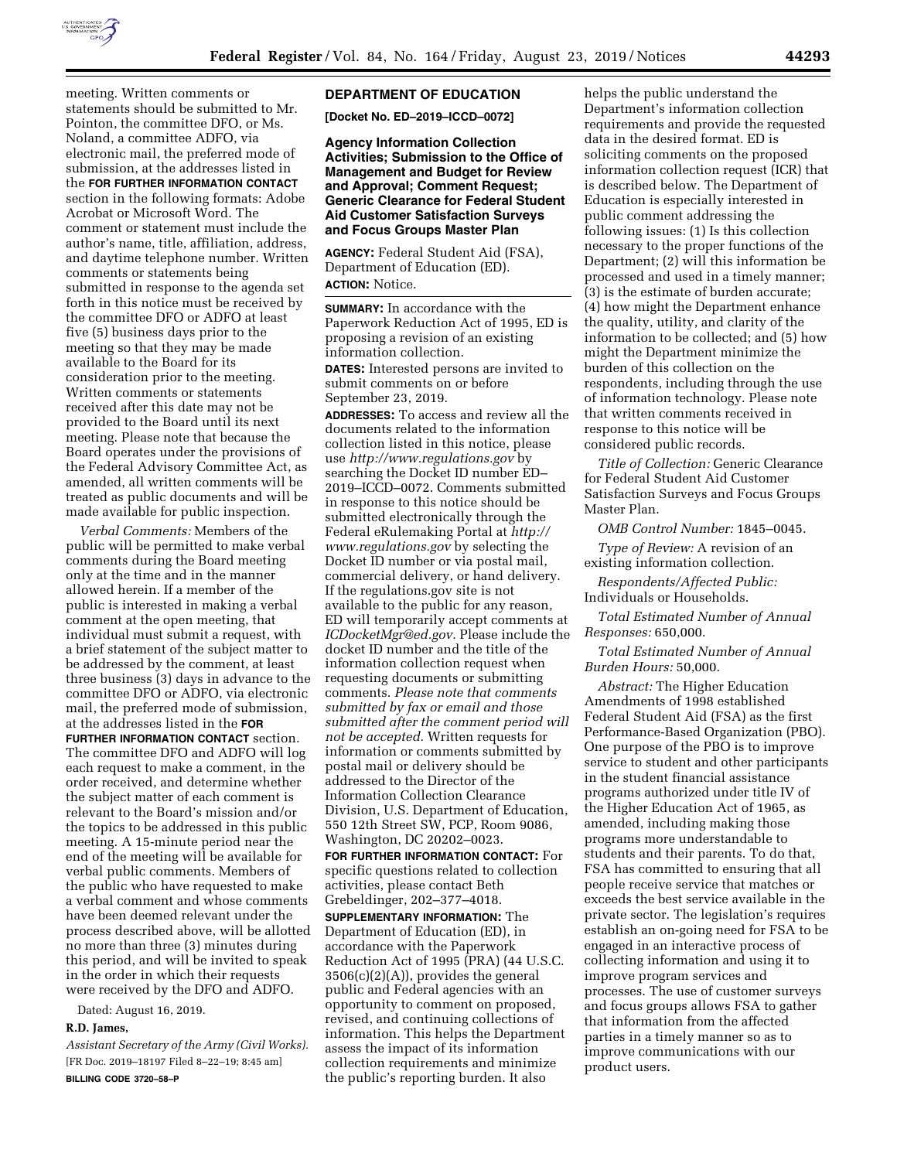

meeting. Written comments or statements should be submitted to Mr. Pointon, the committee DFO, or Ms. Noland, a committee ADFO, via electronic mail, the preferred mode of submission, at the addresses listed in the **FOR FURTHER INFORMATION CONTACT** section in the following formats: Adobe Acrobat or Microsoft Word. The comment or statement must include the author's name, title, affiliation, address, and daytime telephone number. Written comments or statements being submitted in response to the agenda set forth in this notice must be received by the committee DFO or ADFO at least five (5) business days prior to the meeting so that they may be made available to the Board for its consideration prior to the meeting. Written comments or statements received after this date may not be provided to the Board until its next meeting. Please note that because the Board operates under the provisions of the Federal Advisory Committee Act, as amended, all written comments will be treated as public documents and will be made available for public inspection.

*Verbal Comments:* Members of the public will be permitted to make verbal comments during the Board meeting only at the time and in the manner allowed herein. If a member of the public is interested in making a verbal comment at the open meeting, that individual must submit a request, with a brief statement of the subject matter to be addressed by the comment, at least three business (3) days in advance to the committee DFO or ADFO, via electronic mail, the preferred mode of submission, at the addresses listed in the **FOR FURTHER INFORMATION CONTACT** section. The committee DFO and ADFO will log each request to make a comment, in the order received, and determine whether the subject matter of each comment is relevant to the Board's mission and/or the topics to be addressed in this public meeting. A 15-minute period near the end of the meeting will be available for verbal public comments. Members of the public who have requested to make a verbal comment and whose comments have been deemed relevant under the process described above, will be allotted no more than three (3) minutes during this period, and will be invited to speak in the order in which their requests were received by the DFO and ADFO.

Dated: August 16, 2019.

#### **R.D. James,**

*Assistant Secretary of the Army (Civil Works).*  [FR Doc. 2019–18197 Filed 8–22–19; 8:45 am] **BILLING CODE 3720–58–P** 

## **DEPARTMENT OF EDUCATION**

**[Docket No. ED–2019–ICCD–0072]** 

**Agency Information Collection Activities; Submission to the Office of Management and Budget for Review and Approval; Comment Request; Generic Clearance for Federal Student Aid Customer Satisfaction Surveys and Focus Groups Master Plan** 

**AGENCY:** Federal Student Aid (FSA), Department of Education (ED). **ACTION:** Notice.

**SUMMARY:** In accordance with the Paperwork Reduction Act of 1995, ED is proposing a revision of an existing information collection.

**DATES:** Interested persons are invited to submit comments on or before September 23, 2019.

**ADDRESSES:** To access and review all the documents related to the information collection listed in this notice, please use *<http://www.regulations.gov>*by searching the Docket ID number ED– 2019–ICCD–0072. Comments submitted in response to this notice should be submitted electronically through the Federal eRulemaking Portal at *[http://](http://www.regulations.gov) [www.regulations.gov](http://www.regulations.gov)* by selecting the Docket ID number or via postal mail, commercial delivery, or hand delivery. If the regulations.gov site is not available to the public for any reason, ED will temporarily accept comments at *[ICDocketMgr@ed.gov.](mailto:ICDocketMgr@ed.gov)* Please include the docket ID number and the title of the information collection request when requesting documents or submitting comments. *Please note that comments submitted by fax or email and those submitted after the comment period will not be accepted.* Written requests for information or comments submitted by postal mail or delivery should be addressed to the Director of the Information Collection Clearance Division, U.S. Department of Education, 550 12th Street SW, PCP, Room 9086, Washington, DC 20202–0023.

**FOR FURTHER INFORMATION CONTACT:** For specific questions related to collection activities, please contact Beth Grebeldinger, 202–377–4018.

**SUPPLEMENTARY INFORMATION:** The Department of Education (ED), in accordance with the Paperwork Reduction Act of 1995 (PRA) (44 U.S.C. 3506(c)(2)(A)), provides the general public and Federal agencies with an opportunity to comment on proposed, revised, and continuing collections of information. This helps the Department assess the impact of its information collection requirements and minimize the public's reporting burden. It also

helps the public understand the Department's information collection requirements and provide the requested data in the desired format. ED is soliciting comments on the proposed information collection request (ICR) that is described below. The Department of Education is especially interested in public comment addressing the following issues: (1) Is this collection necessary to the proper functions of the Department; (2) will this information be processed and used in a timely manner; (3) is the estimate of burden accurate; (4) how might the Department enhance the quality, utility, and clarity of the information to be collected; and (5) how might the Department minimize the burden of this collection on the respondents, including through the use of information technology. Please note that written comments received in response to this notice will be considered public records.

*Title of Collection:* Generic Clearance for Federal Student Aid Customer Satisfaction Surveys and Focus Groups Master Plan.

*OMB Control Number:* 1845–0045.

*Type of Review:* A revision of an existing information collection.

*Respondents/Affected Public:*  Individuals or Households.

*Total Estimated Number of Annual Responses:* 650,000.

*Total Estimated Number of Annual Burden Hours:* 50,000.

*Abstract:* The Higher Education Amendments of 1998 established Federal Student Aid (FSA) as the first Performance-Based Organization (PBO). One purpose of the PBO is to improve service to student and other participants in the student financial assistance programs authorized under title IV of the Higher Education Act of 1965, as amended, including making those programs more understandable to students and their parents. To do that, FSA has committed to ensuring that all people receive service that matches or exceeds the best service available in the private sector. The legislation's requires establish an on-going need for FSA to be engaged in an interactive process of collecting information and using it to improve program services and processes. The use of customer surveys and focus groups allows FSA to gather that information from the affected parties in a timely manner so as to improve communications with our product users.